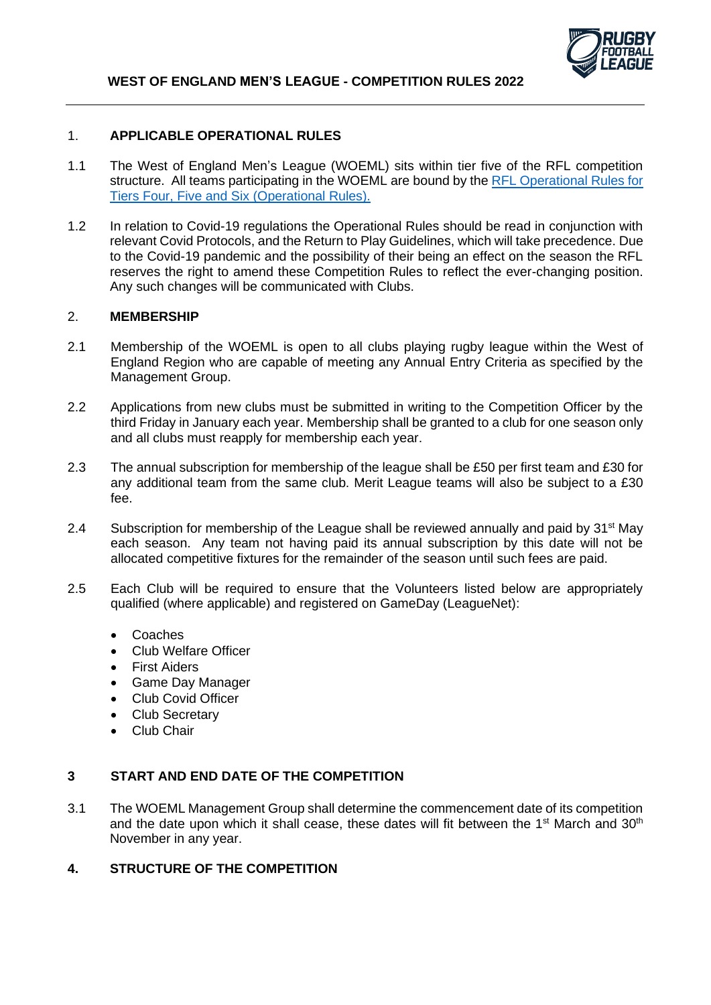

## 1. **APPLICABLE OPERATIONAL RULES**

- 1.1 The West of England Men's League (WOEML) sits within tier five of the RFL competition structure. All teams participating in the WOEML are bound by th[e RFL Operational Rules for](https://staging.rugby-league.com/flipbooks/2022-operational-rules-tiers-4-6/index.html) [Tiers Four, Five and Six \(Operational Rules\).](https://staging.rugby-league.com/flipbooks/2022-operational-rules-tiers-4-6/index.html)
- 1.2 In relation to Covid-19 regulations the Operational Rules should be read in conjunction with relevant Covid Protocols, and the Return to Play Guidelines, which will take precedence. Due to the Covid-19 pandemic and the possibility of their being an effect on the season the RFL reserves the right to amend these Competition Rules to reflect the ever-changing position. Any such changes will be communicated with Clubs.

## 2. **MEMBERSHIP**

- 2.1 Membership of the WOEML is open to all clubs playing rugby league within the West of England Region who are capable of meeting any Annual Entry Criteria as specified by the Management Group.
- 2.2 Applications from new clubs must be submitted in writing to the Competition Officer by the third Friday in January each year. Membership shall be granted to a club for one season only and all clubs must reapply for membership each year.
- 2.3 The annual subscription for membership of the league shall be £50 per first team and £30 for any additional team from the same club. Merit League teams will also be subject to a £30 fee.
- 2.4 Subscription for membership of the League shall be reviewed annually and paid by 31<sup>st</sup> May each season. Any team not having paid its annual subscription by this date will not be allocated competitive fixtures for the remainder of the season until such fees are paid.
- 2.5 Each Club will be required to ensure that the Volunteers listed below are appropriately qualified (where applicable) and registered on GameDay (LeagueNet):
	- Coaches
	- Club Welfare Officer
	- **First Aiders**
	- Game Day Manager
	- Club Covid Officer
	- Club Secretary
	- Club Chair

### **3 START AND END DATE OF THE COMPETITION**

3.1 The WOEML Management Group shall determine the commencement date of its competition and the date upon which it shall cease, these dates will fit between the 1<sup>st</sup> March and 30<sup>th</sup> November in any year.

## **4. STRUCTURE OF THE COMPETITION**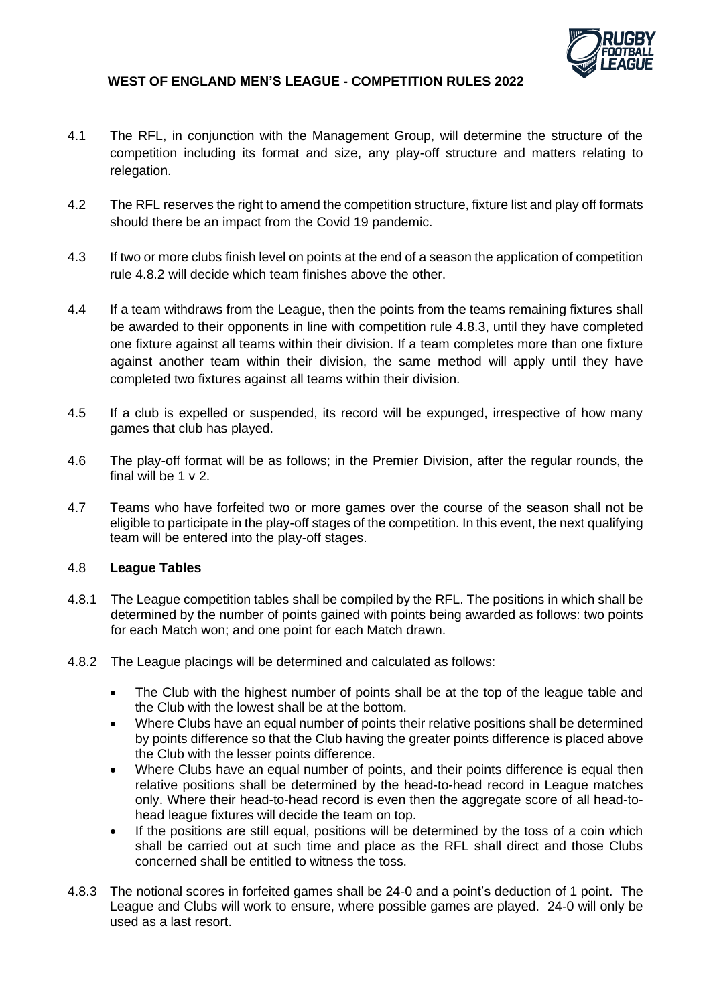

- 4.1 The RFL, in conjunction with the Management Group, will determine the structure of the competition including its format and size, any play-off structure and matters relating to relegation.
- 4.2 The RFL reserves the right to amend the competition structure, fixture list and play off formats should there be an impact from the Covid 19 pandemic.
- 4.3 If two or more clubs finish level on points at the end of a season the application of competition rule 4.8.2 will decide which team finishes above the other.
- 4.4 If a team withdraws from the League, then the points from the teams remaining fixtures shall be awarded to their opponents in line with competition rule 4.8.3, until they have completed one fixture against all teams within their division. If a team completes more than one fixture against another team within their division, the same method will apply until they have completed two fixtures against all teams within their division.
- 4.5 If a club is expelled or suspended, its record will be expunged, irrespective of how many games that club has played.
- 4.6 The play-off format will be as follows; in the Premier Division, after the regular rounds, the final will be 1 v 2.
- 4.7 Teams who have forfeited two or more games over the course of the season shall not be eligible to participate in the play-off stages of the competition. In this event, the next qualifying team will be entered into the play-off stages.

## 4.8 **League Tables**

- 4.8.1 The League competition tables shall be compiled by the RFL. The positions in which shall be determined by the number of points gained with points being awarded as follows: two points for each Match won; and one point for each Match drawn.
- 4.8.2 The League placings will be determined and calculated as follows:
	- The Club with the highest number of points shall be at the top of the league table and the Club with the lowest shall be at the bottom.
	- Where Clubs have an equal number of points their relative positions shall be determined by points difference so that the Club having the greater points difference is placed above the Club with the lesser points difference.
	- Where Clubs have an equal number of points, and their points difference is equal then relative positions shall be determined by the head-to-head record in League matches only. Where their head-to-head record is even then the aggregate score of all head-tohead league fixtures will decide the team on top.
	- If the positions are still equal, positions will be determined by the toss of a coin which shall be carried out at such time and place as the RFL shall direct and those Clubs concerned shall be entitled to witness the toss.
- 4.8.3 The notional scores in forfeited games shall be 24-0 and a point's deduction of 1 point. The League and Clubs will work to ensure, where possible games are played. 24-0 will only be used as a last resort.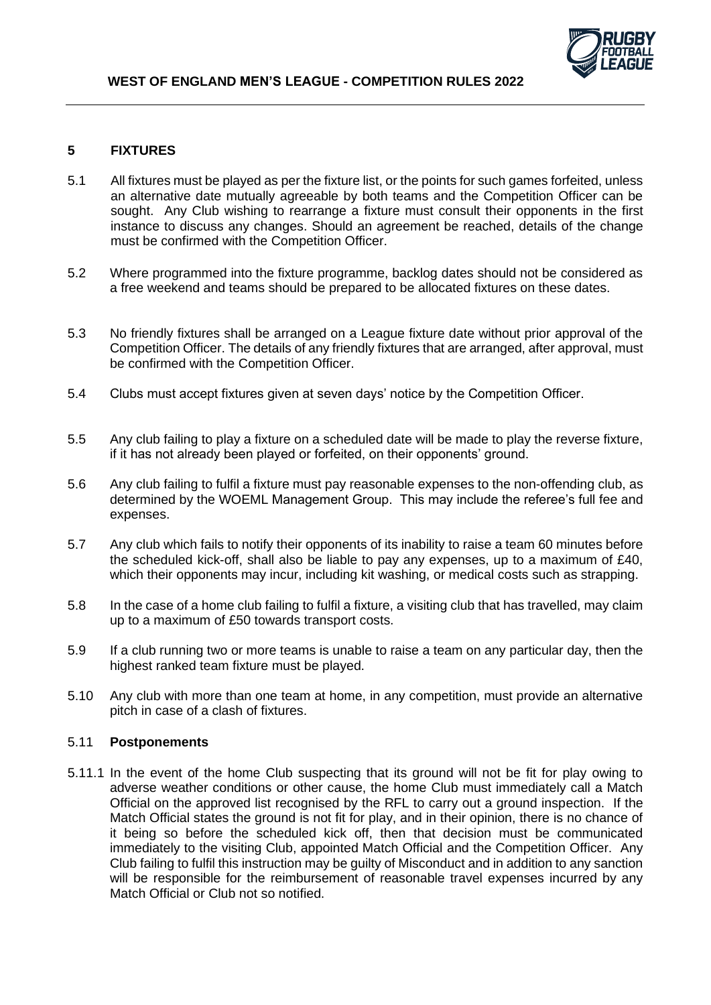# **5 FIXTURES**

- 5.1 All fixtures must be played as per the fixture list, or the points for such games forfeited, unless an alternative date mutually agreeable by both teams and the Competition Officer can be sought. Any Club wishing to rearrange a fixture must consult their opponents in the first instance to discuss any changes. Should an agreement be reached, details of the change must be confirmed with the Competition Officer.
- 5.2 Where programmed into the fixture programme, backlog dates should not be considered as a free weekend and teams should be prepared to be allocated fixtures on these dates.
- 5.3 No friendly fixtures shall be arranged on a League fixture date without prior approval of the Competition Officer. The details of any friendly fixtures that are arranged, after approval, must be confirmed with the Competition Officer.
- 5.4 Clubs must accept fixtures given at seven days' notice by the Competition Officer.
- 5.5 Any club failing to play a fixture on a scheduled date will be made to play the reverse fixture, if it has not already been played or forfeited, on their opponents' ground.
- 5.6 Any club failing to fulfil a fixture must pay reasonable expenses to the non-offending club, as determined by the WOEML Management Group. This may include the referee's full fee and expenses.
- 5.7 Any club which fails to notify their opponents of its inability to raise a team 60 minutes before the scheduled kick-off, shall also be liable to pay any expenses, up to a maximum of £40, which their opponents may incur, including kit washing, or medical costs such as strapping.
- 5.8 In the case of a home club failing to fulfil a fixture, a visiting club that has travelled, may claim up to a maximum of £50 towards transport costs.
- 5.9 If a club running two or more teams is unable to raise a team on any particular day, then the highest ranked team fixture must be played.
- 5.10 Any club with more than one team at home, in any competition, must provide an alternative pitch in case of a clash of fixtures.

### 5.11 **Postponements**

5.11.1 In the event of the home Club suspecting that its ground will not be fit for play owing to adverse weather conditions or other cause, the home Club must immediately call a Match Official on the approved list recognised by the RFL to carry out a ground inspection. If the Match Official states the ground is not fit for play, and in their opinion, there is no chance of it being so before the scheduled kick off, then that decision must be communicated immediately to the visiting Club, appointed Match Official and the Competition Officer. Any Club failing to fulfil this instruction may be guilty of Misconduct and in addition to any sanction will be responsible for the reimbursement of reasonable travel expenses incurred by any Match Official or Club not so notified.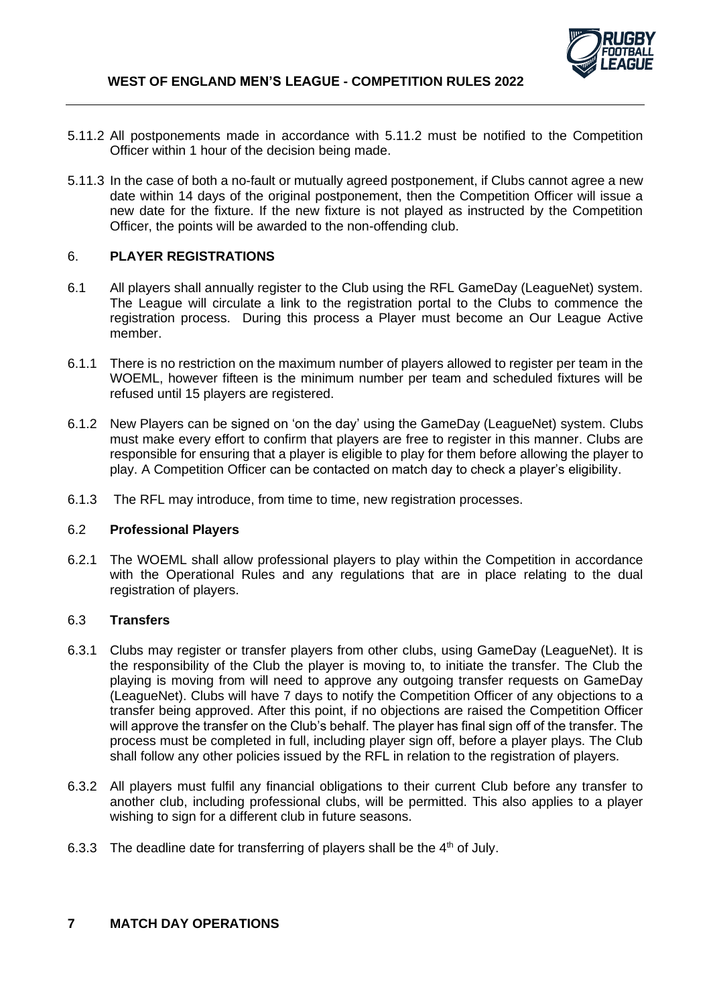

- 5.11.2 All postponements made in accordance with 5.11.2 must be notified to the Competition Officer within 1 hour of the decision being made.
- 5.11.3 In the case of both a no-fault or mutually agreed postponement, if Clubs cannot agree a new date within 14 days of the original postponement, then the Competition Officer will issue a new date for the fixture. If the new fixture is not played as instructed by the Competition Officer, the points will be awarded to the non-offending club.

## 6. **PLAYER REGISTRATIONS**

- 6.1 All players shall annually register to the Club using the RFL GameDay (LeagueNet) system. The League will circulate a link to the registration portal to the Clubs to commence the registration process. During this process a Player must become an Our League Active member.
- 6.1.1 There is no restriction on the maximum number of players allowed to register per team in the WOEML, however fifteen is the minimum number per team and scheduled fixtures will be refused until 15 players are registered.
- 6.1.2 New Players can be signed on 'on the day' using the GameDay (LeagueNet) system. Clubs must make every effort to confirm that players are free to register in this manner. Clubs are responsible for ensuring that a player is eligible to play for them before allowing the player to play. A Competition Officer can be contacted on match day to check a player's eligibility.
- 6.1.3 The RFL may introduce, from time to time, new registration processes.

### 6.2 **Professional Players**

6.2.1 The WOEML shall allow professional players to play within the Competition in accordance with the Operational Rules and any regulations that are in place relating to the dual registration of players.

### 6.3 **Transfers**

- 6.3.1 Clubs may register or transfer players from other clubs, using GameDay (LeagueNet). It is the responsibility of the Club the player is moving to, to initiate the transfer. The Club the playing is moving from will need to approve any outgoing transfer requests on GameDay (LeagueNet). Clubs will have 7 days to notify the Competition Officer of any objections to a transfer being approved. After this point, if no objections are raised the Competition Officer will approve the transfer on the Club's behalf. The player has final sign off of the transfer. The process must be completed in full, including player sign off, before a player plays. The Club shall follow any other policies issued by the RFL in relation to the registration of players.
- 6.3.2 All players must fulfil any financial obligations to their current Club before any transfer to another club, including professional clubs, will be permitted. This also applies to a player wishing to sign for a different club in future seasons.
- 6.3.3 The deadline date for transferring of players shall be the  $4<sup>th</sup>$  of July.

### **7 MATCH DAY OPERATIONS**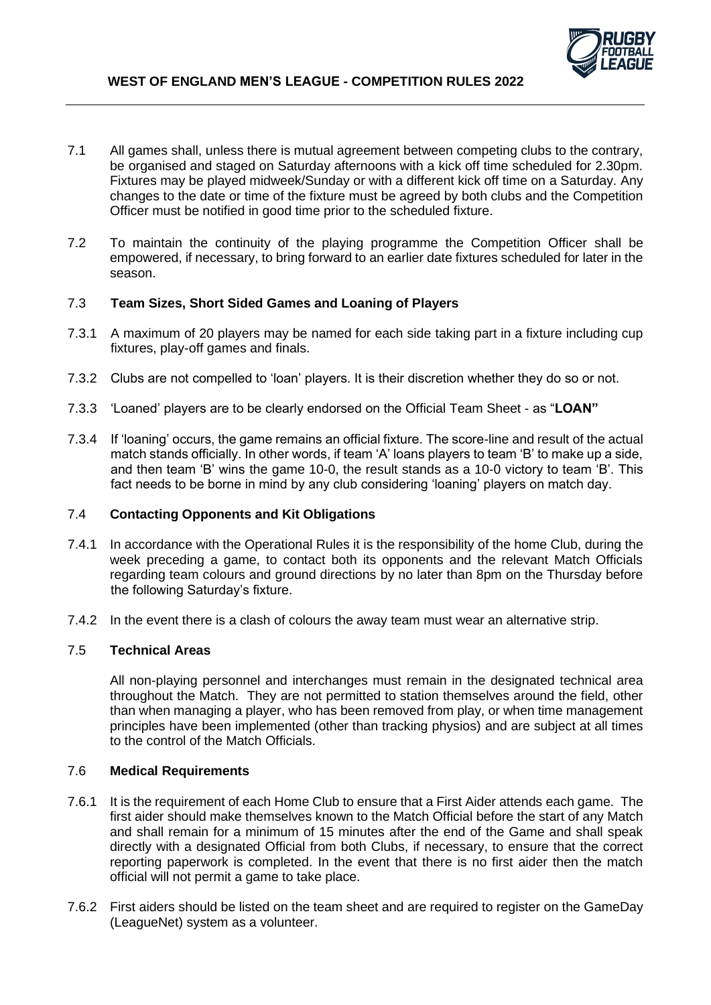

- 7.1 All games shall, unless there is mutual agreement between competing clubs to the contrary, be organised and staged on Saturday afternoons with a kick off time scheduled for 2.30pm. Fixtures may be played midweek/Sunday or with a different kick off time on a Saturday. Any changes to the date or time of the fixture must be agreed by both clubs and the Competition Officer must be notified in good time prior to the scheduled fixture.
- 7.2 To maintain the continuity of the playing programme the Competition Officer shall be empowered, if necessary, to bring forward to an earlier date fixtures scheduled for later in the season.

### 7.3 **Team Sizes, Short Sided Games and Loaning of Players**

- 7.3.1 A maximum of 20 players may be named for each side taking part in a fixture including cup fixtures, play-off games and finals.
- 7.3.2 Clubs are not compelled to 'loan' players. It is their discretion whether they do so or not.
- 7.3.3 'Loaned' players are to be clearly endorsed on the Official Team Sheet as "**LOAN"**
- 7.3.4 If 'loaning' occurs, the game remains an official fixture. The score-line and result of the actual match stands officially. In other words, if team 'A' loans players to team 'B' to make up a side, and then team 'B' wins the game 10-0, the result stands as a 10-0 victory to team 'B'. This fact needs to be borne in mind by any club considering 'loaning' players on match day.

### 7.4 **Contacting Opponents and Kit Obligations**

- 7.4.1 In accordance with the Operational Rules it is the responsibility of the home Club, during the week preceding a game, to contact both its opponents and the relevant Match Officials regarding team colours and ground directions by no later than 8pm on the Thursday before the following Saturday's fixture.
- 7.4.2 In the event there is a clash of colours the away team must wear an alternative strip.

#### 7.5 **Technical Areas**

All non-playing personnel and interchanges must remain in the designated technical area throughout the Match. They are not permitted to station themselves around the field, other than when managing a player, who has been removed from play, or when time management principles have been implemented (other than tracking physios) and are subject at all times to the control of the Match Officials.

#### 7.6 **Medical Requirements**

- 7.6.1 It is the requirement of each Home Club to ensure that a First Aider attends each game. The first aider should make themselves known to the Match Official before the start of any Match and shall remain for a minimum of 15 minutes after the end of the Game and shall speak directly with a designated Official from both Clubs, if necessary, to ensure that the correct reporting paperwork is completed. In the event that there is no first aider then the match official will not permit a game to take place.
- 7.6.2 First aiders should be listed on the team sheet and are required to register on the GameDay (LeagueNet) system as a volunteer.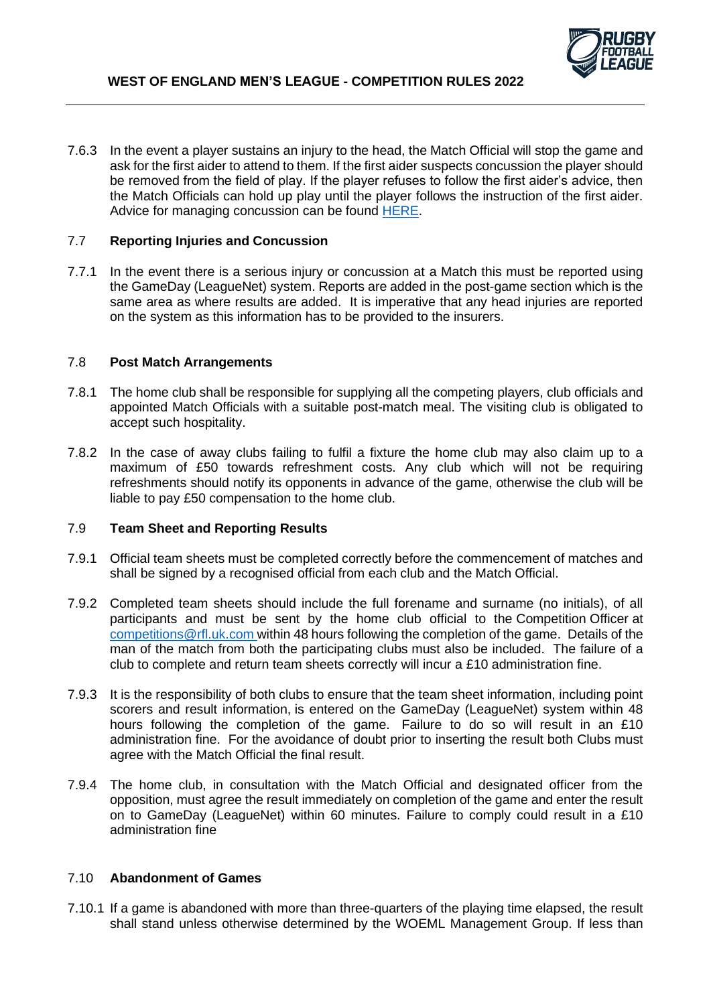

7.6.3 In the event a player sustains an injury to the head, the Match Official will stop the game and ask for the first aider to attend to them. If the first aider suspects concussion the player should be removed from the field of play. If the player refuses to follow the first aider's advice, then the Match Officials can hold up play until the player follows the instruction of the first aider. Advice for managing concussion can be found [HERE.](https://www.rugby-league.com/governance/medical/concussion)

### 7.7 **Reporting Injuries and Concussion**

7.7.1 In the event there is a serious injury or concussion at a Match this must be reported using the GameDay (LeagueNet) system. Reports are added in the post-game section which is the same area as where results are added. It is imperative that any head injuries are reported on the system as this information has to be provided to the insurers.

#### 7.8 **Post Match Arrangements**

- 7.8.1 The home club shall be responsible for supplying all the competing players, club officials and appointed Match Officials with a suitable post-match meal. The visiting club is obligated to accept such hospitality.
- 7.8.2 In the case of away clubs failing to fulfil a fixture the home club may also claim up to a maximum of £50 towards refreshment costs. Any club which will not be requiring refreshments should notify its opponents in advance of the game, otherwise the club will be liable to pay £50 compensation to the home club.

### 7.9 **Team Sheet and Reporting Results**

- 7.9.1 Official team sheets must be completed correctly before the commencement of matches and shall be signed by a recognised official from each club and the Match Official.
- 7.9.2 Completed team sheets should include the full forename and surname (no initials), of all participants and must be sent by the home club official to the Competition Officer at [competitions@rfl.uk.com](mailto:competitions@rfl.uk.com) within 48 hours following the completion of the game. Details of the man of the match from both the participating clubs must also be included. The failure of a club to complete and return team sheets correctly will incur a £10 administration fine.
- 7.9.3 It is the responsibility of both clubs to ensure that the team sheet information, including point scorers and result information, is entered on the GameDay (LeagueNet) system within 48 hours following the completion of the game. Failure to do so will result in an £10 administration fine. For the avoidance of doubt prior to inserting the result both Clubs must agree with the Match Official the final result.
- 7.9.4 The home club, in consultation with the Match Official and designated officer from the opposition, must agree the result immediately on completion of the game and enter the result on to GameDay (LeagueNet) within 60 minutes. Failure to comply could result in a £10 administration fine

#### 7.10 **Abandonment of Games**

7.10.1 If a game is abandoned with more than three-quarters of the playing time elapsed, the result shall stand unless otherwise determined by the WOEML Management Group. If less than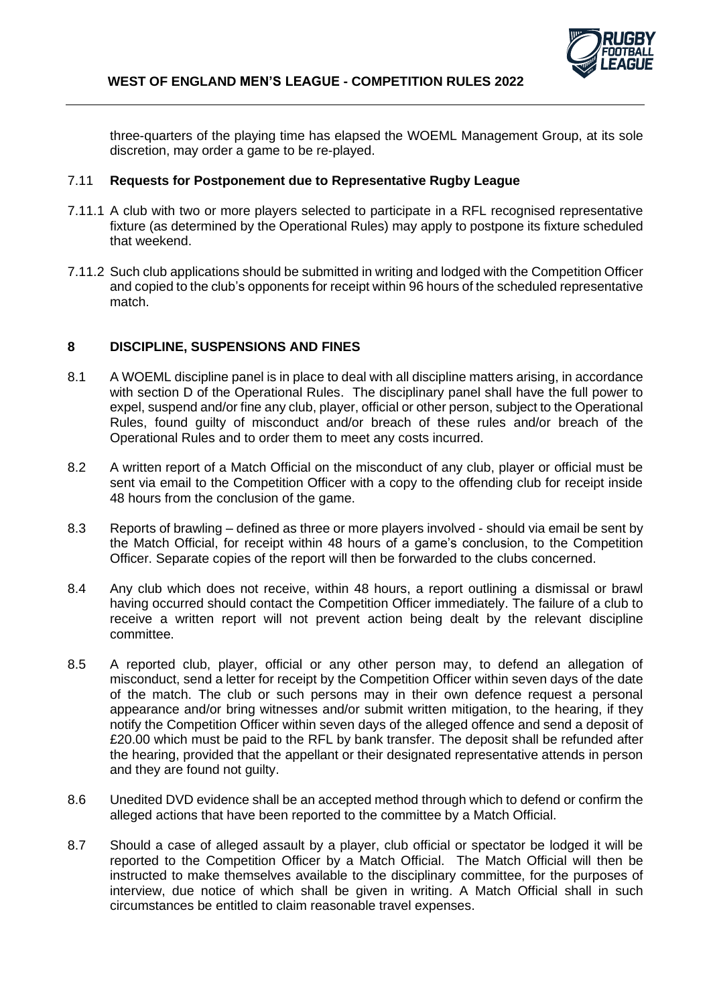

three-quarters of the playing time has elapsed the WOEML Management Group, at its sole discretion, may order a game to be re-played.

## 7.11 **Requests for Postponement due to Representative Rugby League**

- 7.11.1 A club with two or more players selected to participate in a RFL recognised representative fixture (as determined by the Operational Rules) may apply to postpone its fixture scheduled that weekend.
- 7.11.2 Such club applications should be submitted in writing and lodged with the Competition Officer and copied to the club's opponents for receipt within 96 hours of the scheduled representative match.

## **8 DISCIPLINE, SUSPENSIONS AND FINES**

- 8.1 A WOEML discipline panel is in place to deal with all discipline matters arising, in accordance with section D of the Operational Rules. The disciplinary panel shall have the full power to expel, suspend and/or fine any club, player, official or other person, subject to the Operational Rules, found guilty of misconduct and/or breach of these rules and/or breach of the Operational Rules and to order them to meet any costs incurred.
- 8.2 A written report of a Match Official on the misconduct of any club, player or official must be sent via email to the Competition Officer with a copy to the offending club for receipt inside 48 hours from the conclusion of the game.
- 8.3 Reports of brawling defined as three or more players involved should via email be sent by the Match Official, for receipt within 48 hours of a game's conclusion, to the Competition Officer. Separate copies of the report will then be forwarded to the clubs concerned.
- 8.4 Any club which does not receive, within 48 hours, a report outlining a dismissal or brawl having occurred should contact the Competition Officer immediately. The failure of a club to receive a written report will not prevent action being dealt by the relevant discipline committee.
- 8.5 A reported club, player, official or any other person may, to defend an allegation of misconduct, send a letter for receipt by the Competition Officer within seven days of the date of the match. The club or such persons may in their own defence request a personal appearance and/or bring witnesses and/or submit written mitigation, to the hearing, if they notify the Competition Officer within seven days of the alleged offence and send a deposit of £20.00 which must be paid to the RFL by bank transfer. The deposit shall be refunded after the hearing, provided that the appellant or their designated representative attends in person and they are found not quilty.
- 8.6 Unedited DVD evidence shall be an accepted method through which to defend or confirm the alleged actions that have been reported to the committee by a Match Official.
- 8.7 Should a case of alleged assault by a player, club official or spectator be lodged it will be reported to the Competition Officer by a Match Official. The Match Official will then be instructed to make themselves available to the disciplinary committee, for the purposes of interview, due notice of which shall be given in writing. A Match Official shall in such circumstances be entitled to claim reasonable travel expenses.